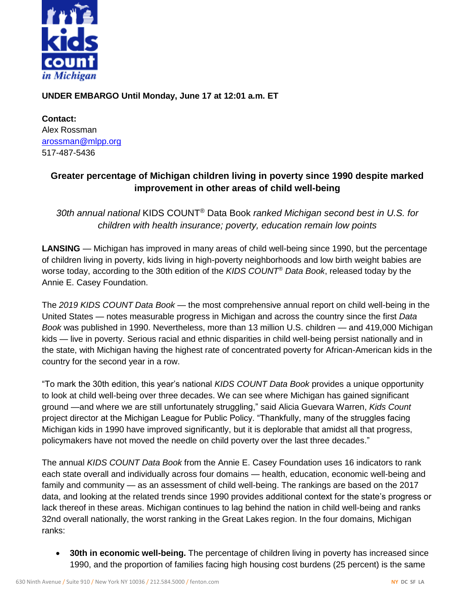

## **UNDER EMBARGO Until Monday, June 17 at 12:01 a.m. ET**

**Contact:**  Alex Rossman [arossman@mlpp.org](mailto:arossman@mlpp.org) 517-487-5436

## **Greater percentage of Michigan children living in poverty since 1990 despite marked improvement in other areas of child well-being**

*30th annual national* KIDS COUNT® Data Book *ranked Michigan second best in U.S. for children with health insurance; poverty, education remain low points*

**LANSING** — Michigan has improved in many areas of child well-being since 1990, but the percentage of children living in poverty, kids living in high-poverty neighborhoods and low birth weight babies are worse today, according to the 30th edition of the *KIDS COUNT® Data Book*, released today by the Annie E. Casey Foundation.

The *2019 KIDS COUNT Data Book* — the most comprehensive annual report on child well-being in the United States — notes measurable progress in Michigan and across the country since the first *Data Book* was published in 1990. Nevertheless, more than 13 million U.S. children — and 419,000 Michigan kids — live in poverty. Serious racial and ethnic disparities in child well-being persist nationally and in the state, with Michigan having the highest rate of concentrated poverty for African-American kids in the country for the second year in a row.

"To mark the 30th edition, this year's national *KIDS COUNT Data Book* provides a unique opportunity to look at child well-being over three decades. We can see where Michigan has gained significant ground —and where we are still unfortunately struggling," said Alicia Guevara Warren, *Kids Count* project director at the Michigan League for Public Policy. "Thankfully, many of the struggles facing Michigan kids in 1990 have improved significantly, but it is deplorable that amidst all that progress, policymakers have not moved the needle on child poverty over the last three decades."

The annual *KIDS COUNT Data Book* from the Annie E. Casey Foundation uses 16 indicators to rank each state overall and individually across four domains — health, education, economic well-being and family and community — as an assessment of child well-being. The rankings are based on the 2017 data, and looking at the related trends since 1990 provides additional context for the state's progress or lack thereof in these areas. Michigan continues to lag behind the nation in child well-being and ranks 32nd overall nationally, the worst ranking in the Great Lakes region. In the four domains, Michigan ranks:

• **30th in economic well-being.** The percentage of children living in poverty has increased since 1990, and the proportion of families facing high housing cost burdens (25 percent) is the same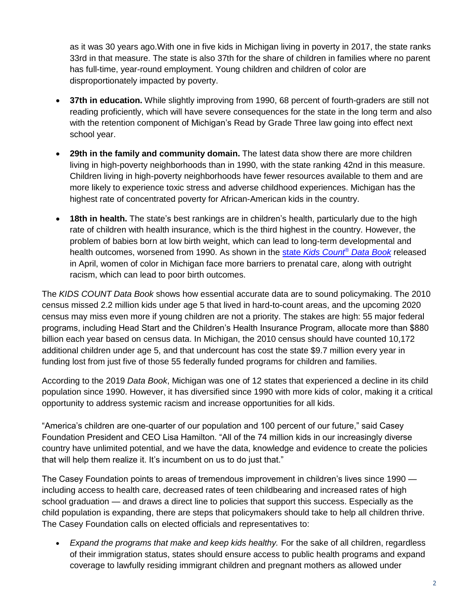as it was 30 years ago.With one in five kids in Michigan living in poverty in 2017, the state ranks 33rd in that measure. The state is also 37th for the share of children in families where no parent has full-time, year-round employment. Young children and children of color are disproportionately impacted by poverty.

- **37th in education.** While slightly improving from 1990, 68 percent of fourth-graders are still not reading proficiently, which will have severe consequences for the state in the long term and also with the retention component of Michigan's Read by Grade Three law going into effect next school year.
- **29th in the family and community domain.** The latest data show there are more children living in high-poverty neighborhoods than in 1990, with the state ranking 42nd in this measure. Children living in high-poverty neighborhoods have fewer resources available to them and are more likely to experience toxic stress and adverse childhood experiences. Michigan has the highest rate of concentrated poverty for African-American kids in the country.
- **18th in health.** The state's best rankings are in children's health, particularly due to the high rate of children with health insurance, which is the third highest in the country. However, the problem of babies born at low birth weight, which can lead to long-term developmental and health outcomes, worsened from 1990. As shown in the state *[Kids Count](https://mlpp.org/kids-count/michigan-2019-data-book/)® Data Book* released in April, women of color in Michigan face more barriers to prenatal care, along with outright racism, which can lead to poor birth outcomes.

The *KIDS COUNT Data Book* shows how essential accurate data are to sound policymaking. The 2010 census missed 2.2 million kids under age 5 that lived in hard-to-count areas, and the upcoming 2020 census may miss even more if young children are not a priority. The stakes are high: 55 major federal programs, including Head Start and the Children's Health Insurance Program, allocate more than \$880 billion each year based on census data. In Michigan, the 2010 census should have counted 10,172 additional children under age 5, and that undercount has cost the state \$9.7 million every year in funding lost from just five of those 55 federally funded programs for children and families.

According to the 2019 *Data Book*, Michigan was one of 12 states that experienced a decline in its child population since 1990. However, it has diversified since 1990 with more kids of color, making it a critical opportunity to address systemic racism and increase opportunities for all kids.

"America's children are one-quarter of our population and 100 percent of our future," said Casey Foundation President and CEO Lisa Hamilton. "All of the 74 million kids in our increasingly diverse country have unlimited potential, and we have the data, knowledge and evidence to create the policies that will help them realize it. It's incumbent on us to do just that."

The Casey Foundation points to areas of tremendous improvement in children's lives since 1990 including access to health care, decreased rates of teen childbearing and increased rates of high school graduation — and draws a direct line to policies that support this success. Especially as the child population is expanding, there are steps that policymakers should take to help all children thrive. The Casey Foundation calls on elected officials and representatives to:

• *Expand the programs that make and keep kids healthy.* For the sake of all children, regardless of their immigration status, states should ensure access to public health programs and expand coverage to lawfully residing immigrant children and pregnant mothers as allowed under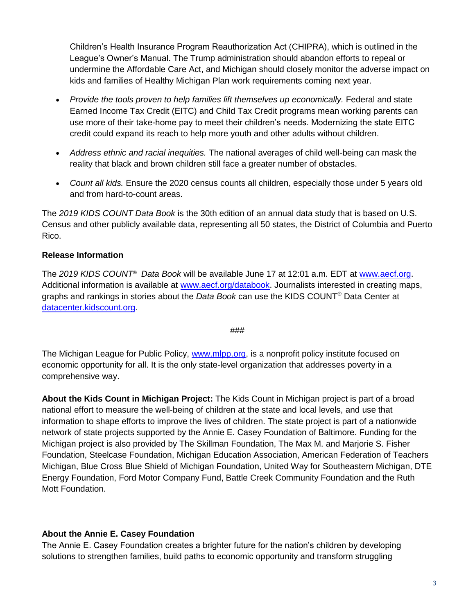Children's Health Insurance Program Reauthorization Act (CHIPRA), which is outlined in the League's Owner's Manual. The Trump administration should abandon efforts to repeal or undermine the Affordable Care Act, and Michigan should closely monitor the adverse impact on kids and families of Healthy Michigan Plan work requirements coming next year.

- *Provide the tools proven to help families lift themselves up economically.* Federal and state Earned Income Tax Credit (EITC) and Child Tax Credit programs mean working parents can use more of their take-home pay to meet their children's needs. Modernizing the state EITC credit could expand its reach to help more youth and other adults without children.
- *Address ethnic and racial inequities.* The national averages of child well-being can mask the reality that black and brown children still face a greater number of obstacles.
- *Count all kids.* Ensure the 2020 census counts all children, especially those under 5 years old and from hard-to-count areas.

The *2019 KIDS COUNT Data Book* is the 30th edition of an annual data study that is based on U.S. Census and other publicly available data, representing all 50 states, the District of Columbia and Puerto Rico.

## **Release Information**

The *2019 KIDS COUNT® Data Book* will be available June 17 at 12:01 a.m. EDT at [www.aecf.org.](file://///SERVER16/MyDocRedirect/arossman/My%20Documents/Kids%20Count/National%20Reports/2019%20National%20Data%20Book/www.aecf.org) Additional information is available at [www.aecf.org/databook.](file://///SERVER16/MyDocRedirect/arossman/My%20Documents/Kids%20Count/National%20Reports/2019%20National%20Data%20Book/www.aecf.org/databook) Journalists interested in creating maps, graphs and rankings in stories about the *Data Book* can use the KIDS COUNT*®* Data Center at [datacenter.kidscount.org.](http://www.datacenter.kidscount.org/)

###

The Michigan League for Public Policy, [www.mlpp.org,](file://///SERVER16/MyDocRedirect/arossman/My%20Documents/Kids%20Count/National%20Reports/2019%20National%20Data%20Book/www.mlpp.org) is a nonprofit policy institute focused on economic opportunity for all. It is the only state-level organization that addresses poverty in a comprehensive way.

**About the Kids Count in Michigan Project:** The Kids Count in Michigan project is part of a broad national effort to measure the well-being of children at the state and local levels, and use that information to shape efforts to improve the lives of children. The state project is part of a nationwide network of state projects supported by the Annie E. Casey Foundation of Baltimore. Funding for the Michigan project is also provided by The Skillman Foundation, The Max M. and Marjorie S. Fisher Foundation, Steelcase Foundation, Michigan Education Association, American Federation of Teachers Michigan, Blue Cross Blue Shield of Michigan Foundation, United Way for Southeastern Michigan, DTE Energy Foundation, Ford Motor Company Fund, Battle Creek Community Foundation and the Ruth Mott Foundation.

## **About the Annie E. Casey Foundation**

The Annie E. Casey Foundation creates a brighter future for the nation's children by developing solutions to strengthen families, build paths to economic opportunity and transform struggling